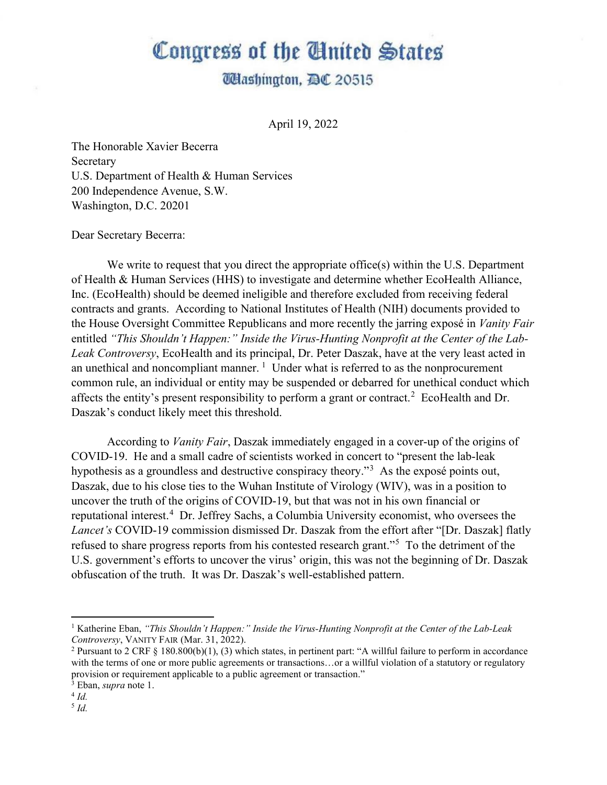## Congress of the United States

## **Washington, DC 20515**

April 19, 2022

The Honorable Xavier Becerra Secretary U.S. Department of Health & Human Services 200 Independence Avenue, S.W. Washington, D.C. 20201

Dear Secretary Becerra:

We write to request that you direct the appropriate office(s) within the U.S. Department of Health & Human Services (HHS) to investigate and determine whether EcoHealth Alliance, Inc. (EcoHealth) should be deemed ineligible and therefore excluded from receiving federal contracts and grants. According to National Institutes of Health (NIH) documents provided to the House Oversight Committee Republicans and more recently the jarring exposé in *Vanity Fair* entitled *"This Shouldn't Happen:" Inside the Virus-Hunting Nonprofit at the Center of the Lab-Leak Controversy*, EcoHealth and its principal, Dr. Peter Daszak, have at the very least acted in an unethical and noncompliant manner.  $1$  Under what is referred to as the nonprocurement common rule, an individual or entity may be suspended or debarred for unethical conduct which affects the entity's present responsibility to perform a grant or contract.<sup>[2](#page-0-1)</sup> EcoHealth and Dr. Daszak's conduct likely meet this threshold.

According to *Vanity Fair*, Daszak immediately engaged in a cover-up of the origins of COVID-19. He and a small cadre of scientists worked in concert to "present the lab-leak hypothesis as a groundless and destructive conspiracy theory."<sup>[3](#page-0-2)</sup> As the exposé points out, Daszak, due to his close ties to the Wuhan Institute of Virology (WIV), was in a position to uncover the truth of the origins of COVID-19, but that was not in his own financial or reputational interest.<sup>[4](#page-0-3)</sup> Dr. Jeffrey Sachs, a Columbia University economist, who oversees the *Lancet's* COVID-19 commission dismissed Dr. Daszak from the effort after "[Dr. Daszak] flatly refused to share progress reports from his contested research grant."<sup>[5](#page-0-4)</sup> To the detriment of the U.S. government's efforts to uncover the virus' origin, this was not the beginning of Dr. Daszak obfuscation of the truth. It was Dr. Daszak's well-established pattern.

<span id="page-0-0"></span><sup>1</sup> Katherine Eban, *"This Shouldn't Happen:" Inside the Virus-Hunting Nonprofit at the Center of the Lab-Leak Controversy*, VANITY FAIR (Mar. 31, 2022).

<span id="page-0-1"></span><sup>&</sup>lt;sup>2</sup> Pursuant to 2 CRF  $\S$  180.800(b)(1), (3) which states, in pertinent part: "A willful failure to perform in accordance with the terms of one or more public agreements or transactions...or a willful violation of a statutory or regulatory provision or requirement applicable to a public agreement or transaction."

<span id="page-0-2"></span><sup>3</sup> Eban, *supra* note 1. 4 *Id.*

<span id="page-0-3"></span>

<span id="page-0-4"></span><sup>5</sup> *Id.*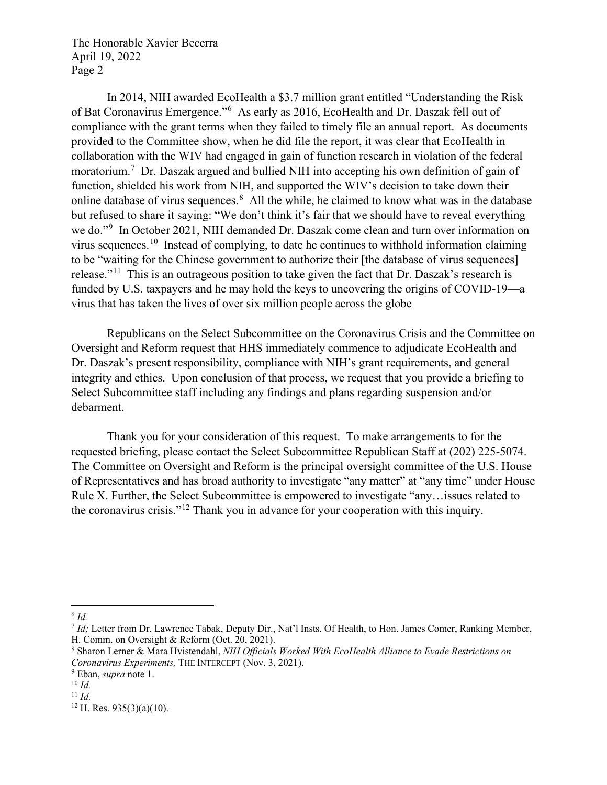The Honorable Xavier Becerra April 19, 2022 Page 2

In 2014, NIH awarded EcoHealth a \$3.7 million grant entitled "Understanding the Risk of Bat Coronavirus Emergence."[6](#page-1-0) As early as 2016, EcoHealth and Dr. Daszak fell out of compliance with the grant terms when they failed to timely file an annual report. As documents provided to the Committee show, when he did file the report, it was clear that EcoHealth in collaboration with the WIV had engaged in gain of function research in violation of the federal moratorium.<sup>[7](#page-1-1)</sup> Dr. Daszak argued and bullied NIH into accepting his own definition of gain of function, shielded his work from NIH, and supported the WIV's decision to take down their online database of virus sequences.<sup>[8](#page-1-2)</sup> All the while, he claimed to know what was in the database but refused to share it saying: "We don't think it's fair that we should have to reveal everything we do."<sup>[9](#page-1-3)</sup> In October 2021, NIH demanded Dr. Daszak come clean and turn over information on virus sequences.[10](#page-1-4) Instead of complying, to date he continues to withhold information claiming to be "waiting for the Chinese government to authorize their [the database of virus sequences] release."<sup>[11](#page-1-5)</sup> This is an outrageous position to take given the fact that Dr. Daszak's research is funded by U.S. taxpayers and he may hold the keys to uncovering the origins of COVID-19—a virus that has taken the lives of over six million people across the globe

Republicans on the Select Subcommittee on the Coronavirus Crisis and the Committee on Oversight and Reform request that HHS immediately commence to adjudicate EcoHealth and Dr. Daszak's present responsibility, compliance with NIH's grant requirements, and general integrity and ethics. Upon conclusion of that process, we request that you provide a briefing to Select Subcommittee staff including any findings and plans regarding suspension and/or debarment.

Thank you for your consideration of this request. To make arrangements to for the requested briefing, please contact the Select Subcommittee Republican Staff at (202) 225-5074. The Committee on Oversight and Reform is the principal oversight committee of the U.S. House of Representatives and has broad authority to investigate "any matter" at "any time" under House Rule X. Further, the Select Subcommittee is empowered to investigate "any…issues related to the coronavirus crisis."[12](#page-1-6) Thank you in advance for your cooperation with this inquiry.

<span id="page-1-0"></span><sup>6</sup> *Id.* 

<span id="page-1-1"></span><sup>7</sup> *Id;* Letter from Dr. Lawrence Tabak, Deputy Dir., Nat'l Insts. Of Health, to Hon. James Comer, Ranking Member, H. Comm. on Oversight & Reform (Oct. 20, 2021).

<span id="page-1-2"></span><sup>8</sup> Sharon Lerner & Mara Hvistendahl, *NIH Officials Worked With EcoHealth Alliance to Evade Restrictions on Coronavirus Experiments,* THE INTERCEPT (Nov. 3, 2021). 9 Eban, *supra* note 1. 10 *Id.* 

<span id="page-1-3"></span>

<span id="page-1-5"></span><span id="page-1-4"></span>

 $11$  *Id.* 

<span id="page-1-6"></span> $12$  H. Res. 935(3)(a)(10).